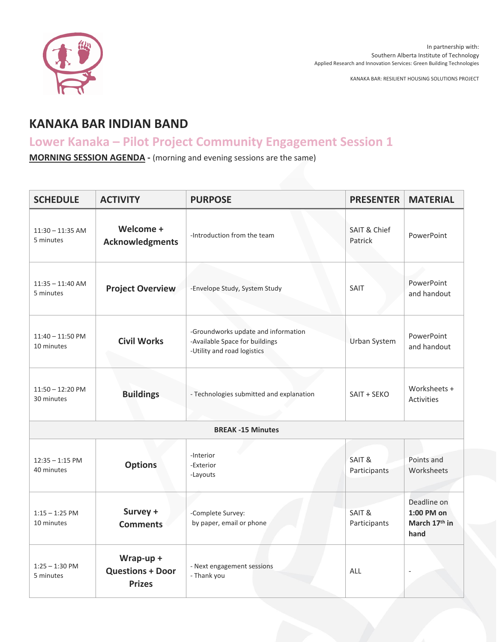

KANAKA BAR: RESILIENT HOUSING SOLUTIONS PROJECT

## **KANAKA BAR INDIAN BAND**

## **Lower Kanaka – Pilot Project Community Engagement Session 1**

**MORNING SESSION AGENDA -** (morning and evening sessions are the same)

| <b>SCHEDULE</b>                  | <b>ACTIVITY</b>                                       | <b>PURPOSE</b>                                                                                       | <b>PRESENTER</b>                   | <b>MATERIAL</b>                                    |  |  |
|----------------------------------|-------------------------------------------------------|------------------------------------------------------------------------------------------------------|------------------------------------|----------------------------------------------------|--|--|
| $11:30 - 11:35$ AM<br>5 minutes  | Welcome +<br><b>Acknowledgments</b>                   | -Introduction from the team                                                                          | <b>SAIT &amp; Chief</b><br>Patrick | PowerPoint                                         |  |  |
| $11:35 - 11:40$ AM<br>5 minutes  | <b>Project Overview</b>                               | -Envelope Study, System Study                                                                        | SAIT                               | PowerPoint<br>and handout                          |  |  |
| $11:40 - 11:50$ PM<br>10 minutes | <b>Civil Works</b>                                    | -Groundworks update and information<br>-Available Space for buildings<br>-Utility and road logistics | Urban System                       | PowerPoint<br>and handout                          |  |  |
| $11:50 - 12:20$ PM<br>30 minutes | <b>Buildings</b>                                      | - Technologies submitted and explanation                                                             | SAIT + SEKO                        | Worksheets +<br><b>Activities</b>                  |  |  |
| <b>BREAK-15 Minutes</b>          |                                                       |                                                                                                      |                                    |                                                    |  |  |
| $12:35 - 1:15$ PM<br>40 minutes  | <b>Options</b>                                        | -Interior<br>-Exterior<br>-Layouts                                                                   | SAIT &<br>Participants             | Points and<br>Worksheets                           |  |  |
| $1:15 - 1:25$ PM<br>10 minutes   | Survey +<br><b>Comments</b>                           | -Complete Survey:<br>by paper, email or phone                                                        | SAIT &<br>Participants             | Deadline on<br>1:00 PM on<br>March 17th in<br>hand |  |  |
| $1:25 - 1:30$ PM<br>5 minutes    | Wrap-up +<br><b>Questions + Door</b><br><b>Prizes</b> | - Next engagement sessions<br>- Thank you                                                            | ALL                                |                                                    |  |  |